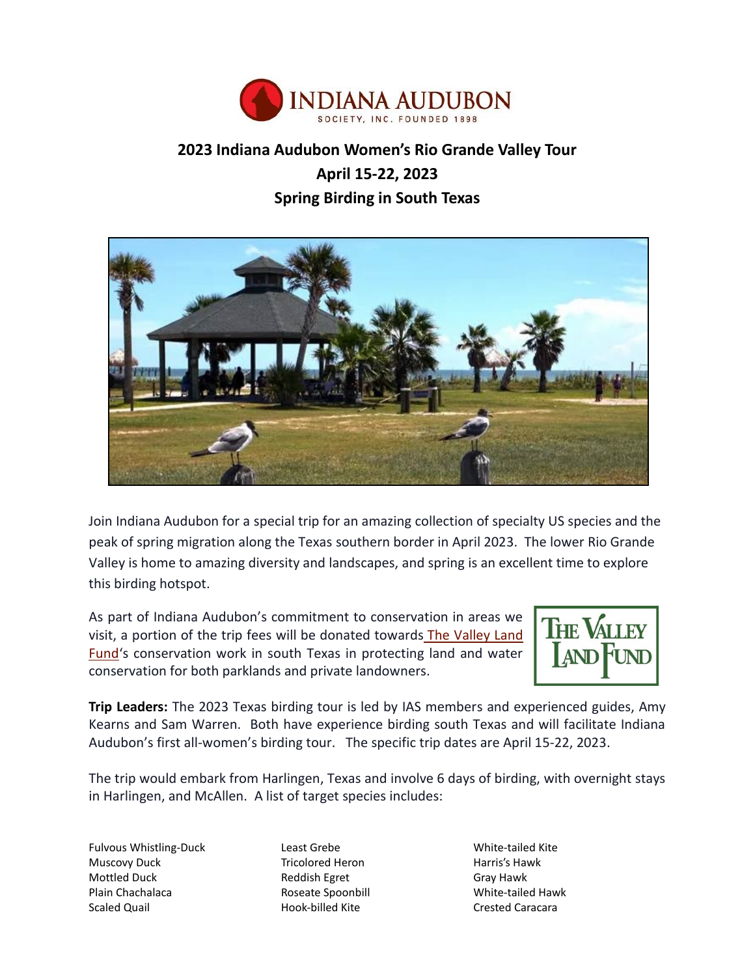

# **2023 Indiana Audubon Women's Rio Grande Valley Tour April 15-22, 2023 Spring Birding in South Texas**



Join Indiana Audubon for a special trip for an amazing collection of specialty US species and the peak of spring migration along the Texas southern border in April 2023. The lower Rio Grande Valley is home to amazing diversity and landscapes, and spring is an excellent time to explore this birding hotspot.

As part of Indiana Audubon's commitment to conservation in areas we visit, a portion of the trip fees will be donated towards [The Valley Land](https://valleylandfund.com/)  [Fund](https://valleylandfund.com/)'s conservation work in south Texas in protecting land and water conservation for both parklands and private landowners.



**Trip Leaders:** The 2023 Texas birding tour is led by IAS members and experienced guides, Amy Kearns and Sam Warren. Both have experience birding south Texas and will facilitate Indiana Audubon's first all-women's birding tour. The specific trip dates are April 15-22, 2023.

The trip would embark from Harlingen, Texas and involve 6 days of birding, with overnight stays in Harlingen, and McAllen. A list of target species includes:

Fulvous Whistling-Duck Muscovy Duck Mottled Duck Plain Chachalaca Scaled Quail

Least Grebe Tricolored Heron Reddish Egret Roseate Spoonbill Hook-billed Kite

White-tailed Kite Harris's Hawk Gray Hawk White-tailed Hawk Crested Caracara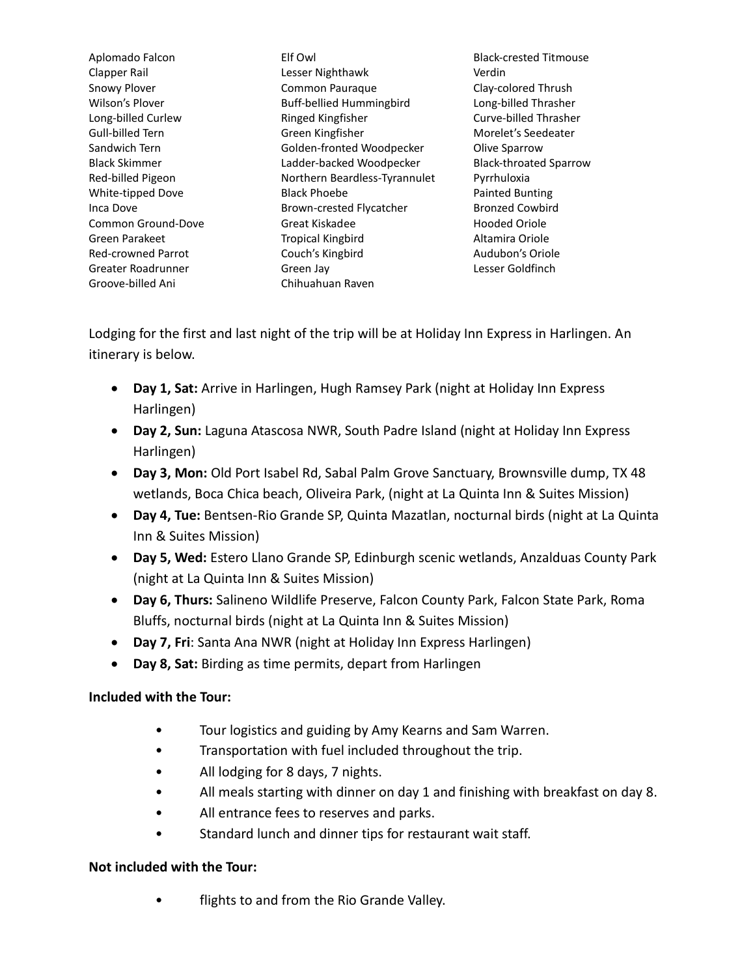Aplomado Falcon Clapper Rail Snowy Plover Wilson's Plover Long-billed Curlew Gull-billed Tern Sandwich Tern Black Skimmer Red-billed Pigeon White-tipped Dove Inca Dove Common Ground-Dove Green Parakeet Red-crowned Parrot Greater Roadrunner Groove-billed Ani

Elf Owl Lesser Nighthawk Common Pauraque Buff-bellied Hummingbird Ringed Kingfisher Green Kingfisher Golden-fronted Woodpecker Ladder-backed Woodpecker Northern Beardless-Tyrannulet Black Phoebe Brown-crested Flycatcher Great Kiskadee Tropical Kingbird Couch's Kingbird Green Jay Chihuahuan Raven

Black-crested Titmouse Verdin Clay-colored Thrush Long-billed Thrasher Curve-billed Thrasher Morelet's Seedeater Olive Sparrow Black-throated Sparrow Pyrrhuloxia Painted Bunting Bronzed Cowbird Hooded Oriole Altamira Oriole Audubon's Oriole Lesser Goldfinch

Lodging for the first and last night of the trip will be at Holiday Inn Express in Harlingen. An itinerary is below.

- **Day 1, Sat:** Arrive in Harlingen, Hugh Ramsey Park (night at Holiday Inn Express Harlingen)
- **Day 2, Sun:** Laguna Atascosa NWR, South Padre Island (night at Holiday Inn Express Harlingen)
- **Day 3, Mon:** Old Port Isabel Rd, Sabal Palm Grove Sanctuary, Brownsville dump, TX 48 wetlands, Boca Chica beach, Oliveira Park, (night at La Quinta Inn & Suites Mission)
- **Day 4, Tue:** Bentsen-Rio Grande SP, Quinta Mazatlan, nocturnal birds (night at La Quinta Inn & Suites Mission)
- **Day 5, Wed:** Estero Llano Grande SP, Edinburgh scenic wetlands, Anzalduas County Park (night at La Quinta Inn & Suites Mission)
- **Day 6, Thurs:** Salineno Wildlife Preserve, Falcon County Park, Falcon State Park, Roma Bluffs, nocturnal birds (night at La Quinta Inn & Suites Mission)
- **Day 7, Fri**: Santa Ana NWR (night at Holiday Inn Express Harlingen)
- **Day 8, Sat:** Birding as time permits, depart from Harlingen

## **Included with the Tour:**

- Tour logistics and guiding by Amy Kearns and Sam Warren.
- Transportation with fuel included throughout the trip.
- All lodging for 8 days, 7 nights.
- All meals starting with dinner on day 1 and finishing with breakfast on day 8.
- All entrance fees to reserves and parks.
- Standard lunch and dinner tips for restaurant wait staff.

## **Not included with the Tour:**

flights to and from the Rio Grande Valley.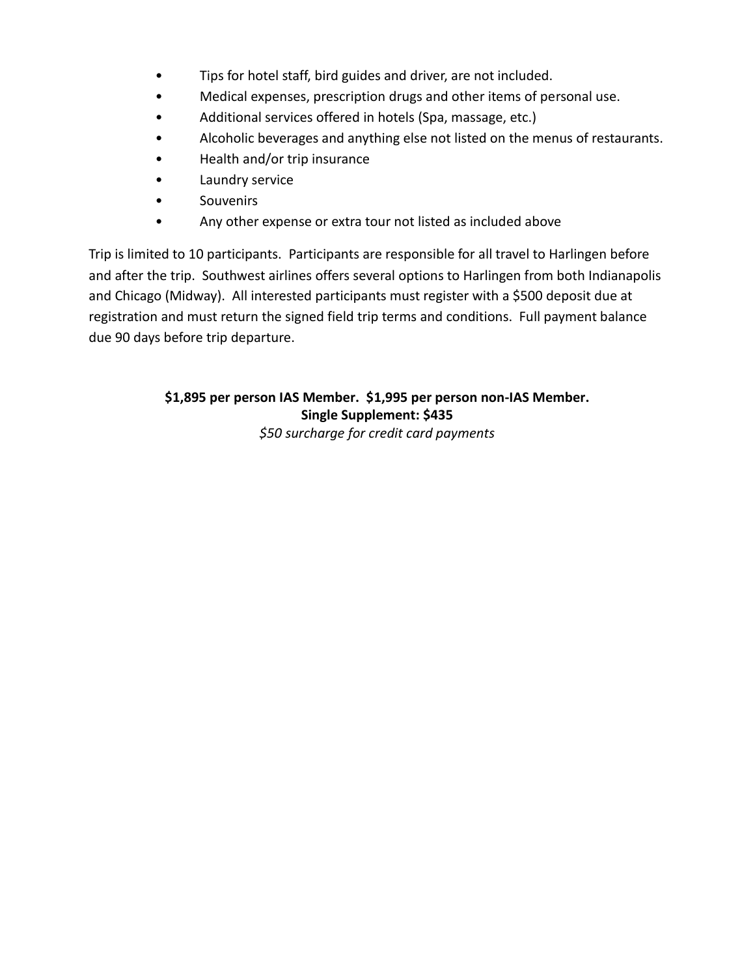- Tips for hotel staff, bird guides and driver, are not included.
- Medical expenses, prescription drugs and other items of personal use.
- Additional services offered in hotels (Spa, massage, etc.)
- Alcoholic beverages and anything else not listed on the menus of restaurants.
- Health and/or trip insurance
- Laundry service
- Souvenirs
- Any other expense or extra tour not listed as included above

Trip is limited to 10 participants. Participants are responsible for all travel to Harlingen before and after the trip. Southwest airlines offers several options to Harlingen from both Indianapolis and Chicago (Midway). All interested participants must register with a \$500 deposit due at registration and must return the signed field trip terms and conditions. Full payment balance due 90 days before trip departure.

## **\$1,895 per person IAS Member. \$1,995 per person non-IAS Member. Single Supplement: \$435**

*\$50 surcharge for credit card payments*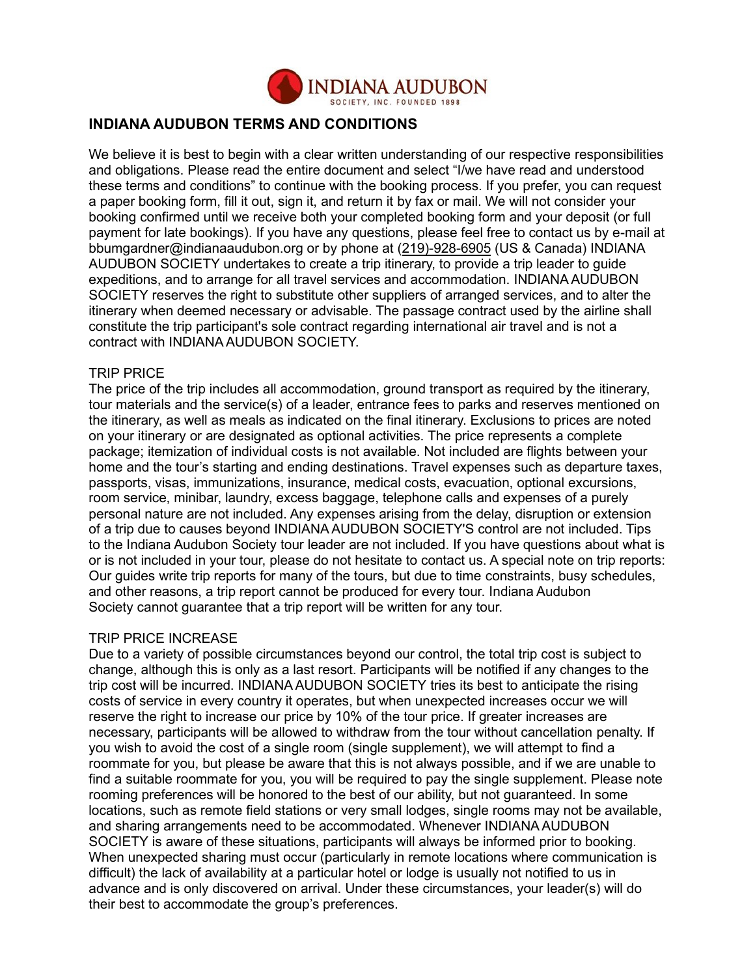

## **INDIANA AUDUBON TERMS AND CONDITIONS**

We believe it is best to begin with a clear written understanding of our respective responsibilities and obligations. Please read the entire document and select "I/we have read and understood these terms and conditions" to continue with the booking process. If you prefer, you can request a paper booking form, fill it out, sign it, and return it by fax or mail. We will not consider your booking confirmed until we receive both your completed booking form and your deposit (or full payment for late bookings). If you have any questions, please feel free to contact us by e-mail at bbumgardner@indianaaudubon.org or by phone at (219)-928-6905 (US & Canada) INDIANA AUDUBON SOCIETY undertakes to create a trip itinerary, to provide a trip leader to guide expeditions, and to arrange for all travel services and accommodation. INDIANA AUDUBON SOCIETY reserves the right to substitute other suppliers of arranged services, and to alter the itinerary when deemed necessary or advisable. The passage contract used by the airline shall constitute the trip participant's sole contract regarding international air travel and is not a contract with INDIANA AUDUBON SOCIETY.

#### TRIP PRICE

The price of the trip includes all accommodation, ground transport as required by the itinerary, tour materials and the service(s) of a leader, entrance fees to parks and reserves mentioned on the itinerary, as well as meals as indicated on the final itinerary. Exclusions to prices are noted on your itinerary or are designated as optional activities. The price represents a complete package; itemization of individual costs is not available. Not included are flights between your home and the tour's starting and ending destinations. Travel expenses such as departure taxes, passports, visas, immunizations, insurance, medical costs, evacuation, optional excursions, room service, minibar, laundry, excess baggage, telephone calls and expenses of a purely personal nature are not included. Any expenses arising from the delay, disruption or extension of a trip due to causes beyond INDIANA AUDUBON SOCIETY'S control are not included. Tips to the Indiana Audubon Society tour leader are not included. If you have questions about what is or is not included in your tour, please do not hesitate to contact us. A special note on trip reports: Our guides write trip reports for many of the tours, but due to time constraints, busy schedules, and other reasons, a trip report cannot be produced for every tour. Indiana Audubon Society cannot guarantee that a trip report will be written for any tour.

#### TRIP PRICE INCREASE

Due to a variety of possible circumstances beyond our control, the total trip cost is subject to change, although this is only as a last resort. Participants will be notified if any changes to the trip cost will be incurred. INDIANA AUDUBON SOCIETY tries its best to anticipate the rising costs of service in every country it operates, but when unexpected increases occur we will reserve the right to increase our price by 10% of the tour price. If greater increases are necessary, participants will be allowed to withdraw from the tour without cancellation penalty. If you wish to avoid the cost of a single room (single supplement), we will attempt to find a roommate for you, but please be aware that this is not always possible, and if we are unable to find a suitable roommate for you, you will be required to pay the single supplement. Please note rooming preferences will be honored to the best of our ability, but not guaranteed. In some locations, such as remote field stations or very small lodges, single rooms may not be available, and sharing arrangements need to be accommodated. Whenever INDIANA AUDUBON SOCIETY is aware of these situations, participants will always be informed prior to booking. When unexpected sharing must occur (particularly in remote locations where communication is difficult) the lack of availability at a particular hotel or lodge is usually not notified to us in advance and is only discovered on arrival. Under these circumstances, your leader(s) will do their best to accommodate the group's preferences.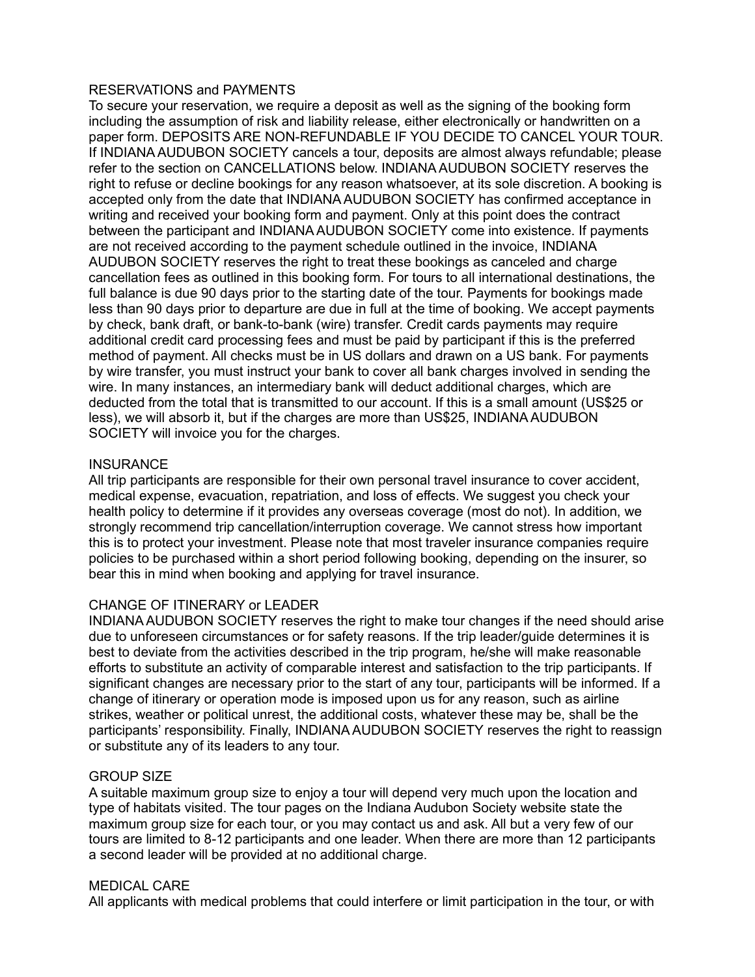#### RESERVATIONS and PAYMENTS

To secure your reservation, we require a deposit as well as the signing of the booking form including the assumption of risk and liability release, either electronically or handwritten on a paper form. DEPOSITS ARE NON-REFUNDABLE IF YOU DECIDE TO CANCEL YOUR TOUR. If INDIANA AUDUBON SOCIETY cancels a tour, deposits are almost always refundable; please refer to the section on CANCELLATIONS below. INDIANA AUDUBON SOCIETY reserves the right to refuse or decline bookings for any reason whatsoever, at its sole discretion. A booking is accepted only from the date that INDIANA AUDUBON SOCIETY has confirmed acceptance in writing and received your booking form and payment. Only at this point does the contract between the participant and INDIANA AUDUBON SOCIETY come into existence. If payments are not received according to the payment schedule outlined in the invoice, INDIANA AUDUBON SOCIETY reserves the right to treat these bookings as canceled and charge cancellation fees as outlined in this booking form. For tours to all international destinations, the full balance is due 90 days prior to the starting date of the tour. Payments for bookings made less than 90 days prior to departure are due in full at the time of booking. We accept payments by check, bank draft, or bank-to-bank (wire) transfer. Credit cards payments may require additional credit card processing fees and must be paid by participant if this is the preferred method of payment. All checks must be in US dollars and drawn on a US bank. For payments by wire transfer, you must instruct your bank to cover all bank charges involved in sending the wire. In many instances, an intermediary bank will deduct additional charges, which are deducted from the total that is transmitted to our account. If this is a small amount (US\$25 or less), we will absorb it, but if the charges are more than US\$25, INDIANA AUDUBON SOCIETY will invoice you for the charges.

#### **INSURANCE**

All trip participants are responsible for their own personal travel insurance to cover accident, medical expense, evacuation, repatriation, and loss of effects. We suggest you check your health policy to determine if it provides any overseas coverage (most do not). In addition, we strongly recommend trip cancellation/interruption coverage. We cannot stress how important this is to protect your investment. Please note that most traveler insurance companies require policies to be purchased within a short period following booking, depending on the insurer, so bear this in mind when booking and applying for travel insurance.

#### CHANGE OF ITINERARY or LEADER

INDIANA AUDUBON SOCIETY reserves the right to make tour changes if the need should arise due to unforeseen circumstances or for safety reasons. If the trip leader/guide determines it is best to deviate from the activities described in the trip program, he/she will make reasonable efforts to substitute an activity of comparable interest and satisfaction to the trip participants. If significant changes are necessary prior to the start of any tour, participants will be informed. If a change of itinerary or operation mode is imposed upon us for any reason, such as airline strikes, weather or political unrest, the additional costs, whatever these may be, shall be the participants' responsibility. Finally, INDIANA AUDUBON SOCIETY reserves the right to reassign or substitute any of its leaders to any tour.

#### GROUP SIZE

A suitable maximum group size to enjoy a tour will depend very much upon the location and type of habitats visited. The tour pages on the Indiana Audubon Society website state the maximum group size for each tour, or you may contact us and ask. All but a very few of our tours are limited to 8-12 participants and one leader. When there are more than 12 participants a second leader will be provided at no additional charge.

#### MEDICAL CARE

All applicants with medical problems that could interfere or limit participation in the tour, or with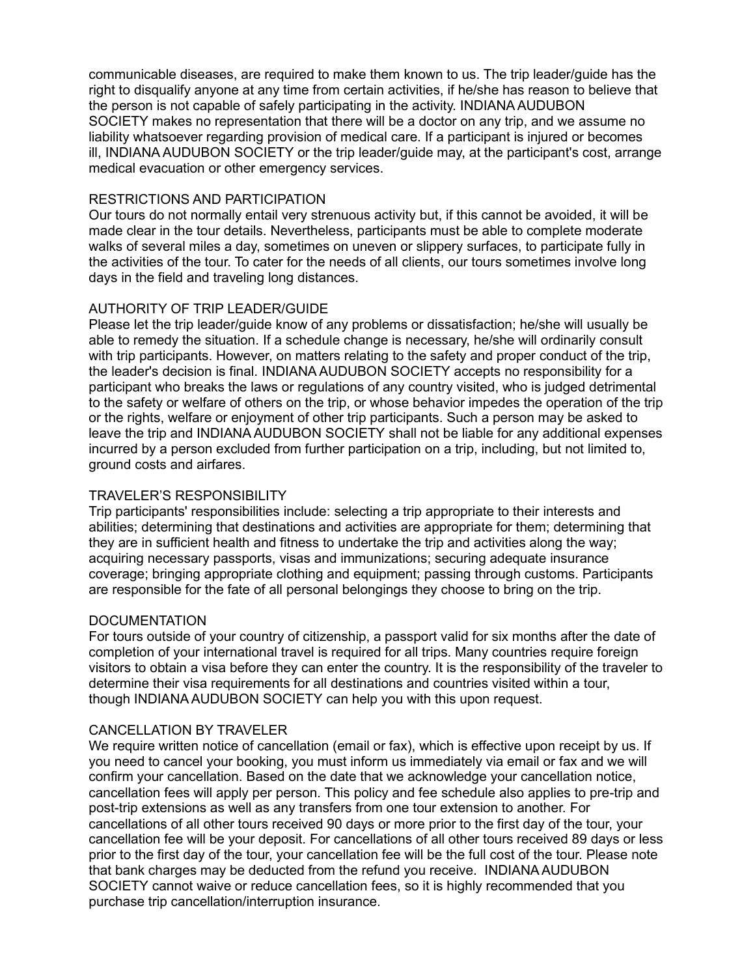communicable diseases, are required to make them known to us. The trip leader/guide has the right to disqualify anyone at any time from certain activities, if he/she has reason to believe that the person is not capable of safely participating in the activity. INDIANA AUDUBON SOCIETY makes no representation that there will be a doctor on any trip, and we assume no liability whatsoever regarding provision of medical care. If a participant is injured or becomes ill, INDIANA AUDUBON SOCIETY or the trip leader/guide may, at the participant's cost, arrange medical evacuation or other emergency services.

#### RESTRICTIONS AND PARTICIPATION

Our tours do not normally entail very strenuous activity but, if this cannot be avoided, it will be made clear in the tour details. Nevertheless, participants must be able to complete moderate walks of several miles a day, sometimes on uneven or slippery surfaces, to participate fully in the activities of the tour. To cater for the needs of all clients, our tours sometimes involve long days in the field and traveling long distances.

#### AUTHORITY OF TRIP LEADER/GUIDE

Please let the trip leader/guide know of any problems or dissatisfaction; he/she will usually be able to remedy the situation. If a schedule change is necessary, he/she will ordinarily consult with trip participants. However, on matters relating to the safety and proper conduct of the trip, the leader's decision is final. INDIANA AUDUBON SOCIETY accepts no responsibility for a participant who breaks the laws or regulations of any country visited, who is judged detrimental to the safety or welfare of others on the trip, or whose behavior impedes the operation of the trip or the rights, welfare or enjoyment of other trip participants. Such a person may be asked to leave the trip and INDIANA AUDUBON SOCIETY shall not be liable for any additional expenses incurred by a person excluded from further participation on a trip, including, but not limited to, ground costs and airfares.

#### TRAVELER'S RESPONSIBILITY

Trip participants' responsibilities include: selecting a trip appropriate to their interests and abilities; determining that destinations and activities are appropriate for them; determining that they are in sufficient health and fitness to undertake the trip and activities along the way; acquiring necessary passports, visas and immunizations; securing adequate insurance coverage; bringing appropriate clothing and equipment; passing through customs. Participants are responsible for the fate of all personal belongings they choose to bring on the trip.

#### **DOCUMENTATION**

For tours outside of your country of citizenship, a passport valid for six months after the date of completion of your international travel is required for all trips. Many countries require foreign visitors to obtain a visa before they can enter the country. It is the responsibility of the traveler to determine their visa requirements for all destinations and countries visited within a tour, though INDIANA AUDUBON SOCIETY can help you with this upon request.

#### CANCELLATION BY TRAVELER

We require written notice of cancellation (email or fax), which is effective upon receipt by us. If you need to cancel your booking, you must inform us immediately via email or fax and we will confirm your cancellation. Based on the date that we acknowledge your cancellation notice, cancellation fees will apply per person. This policy and fee schedule also applies to pre-trip and post-trip extensions as well as any transfers from one tour extension to another. For cancellations of all other tours received 90 days or more prior to the first day of the tour, your cancellation fee will be your deposit. For cancellations of all other tours received 89 days or less prior to the first day of the tour, your cancellation fee will be the full cost of the tour. Please note that bank charges may be deducted from the refund you receive. INDIANA AUDUBON SOCIETY cannot waive or reduce cancellation fees, so it is highly recommended that you purchase trip cancellation/interruption insurance.